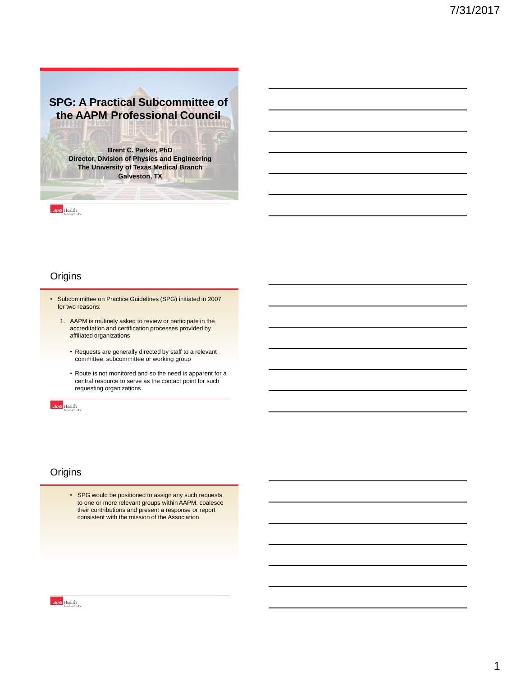# **SPG: A Practical Subcommittee of the AAPM Professional Council**

**Brent C. Parker, PhD Director, Division of Physics and Engineering The University of Texas Medical Branch Galveston, TX**

utmb Health

# **Origins**

- Subcommittee on Practice Guidelines (SPG) initiated in 2007 for two reasons:
	- 1. AAPM is routinely asked to review or participate in the accreditation and certification processes provided by affiliated organizations
		- Requests are generally directed by staff to a relevant committee, subcommittee or working group
		- Route is not monitored and so the need is apparent for a central resource to serve as the contact point for such requesting organizations

utmb Health

#### **Origins**

• SPG would be positioned to assign any such requests to one or more relevant groups within AAPM, coalesce their contributions and present a response or report consistent with the mission of the Association

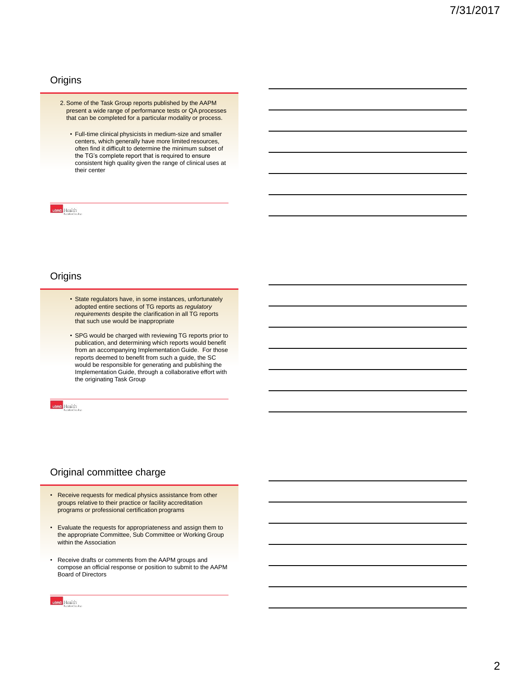### **Origins**

- 2. Some of the Task Group reports published by the AAPM present a wide range of performance tests or QA processes that can be completed for a particular modality or process.
	- Full-time clinical physicists in medium-size and smaller centers, which generally have more limited resources, often find it difficult to determine the minimum subset of the TG's complete report that is required to ensure consistent high quality given the range of clinical uses at their center

#### utmb Health

### **Origins**

- State regulators have, in some instances, unfortunately adopted entire sections of TG reports as *regulatory requirements* despite the clarification in all TG reports that such use would be inappropriate
- SPG would be charged with reviewing TG reports prior to publication, and determining which reports would benefit from an accompanying Implementation Guide. For those reports deemed to benefit from such a guide, the SC would be responsible for generating and publishing the Implementation Guide, through a collaborative effort with the originating Task Group

tmb Health

#### Original committee charge

- Receive requests for medical physics assistance from other groups relative to their practice or facility accreditation programs or professional certification programs
- Evaluate the requests for appropriateness and assign them to the appropriate Committee, Sub Committee or Working Group within the Association
- Receive drafts or comments from the AAPM groups and compose an official response or position to submit to the AAPM Board of Directors

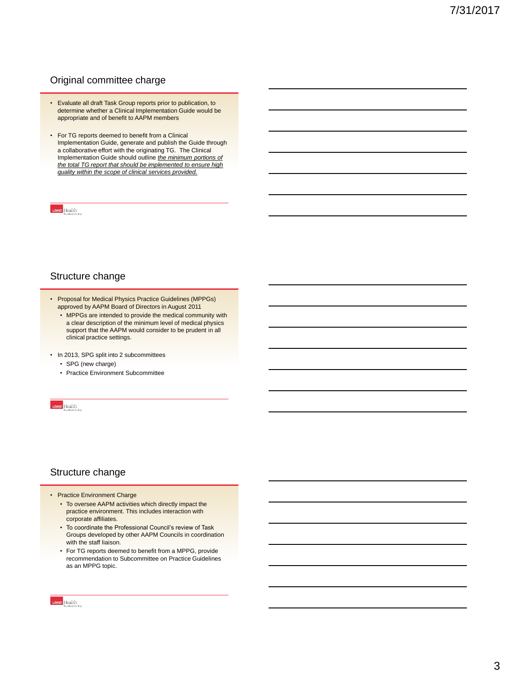# Original committee charge

- Evaluate all draft Task Group reports prior to publication, to determine whether a Clinical Implementation Guide would be appropriate and of benefit to AAPM members
- For TG reports deemed to benefit from a Clinical Implementation Guide, generate and publish the Guide through a collaborative effort with the originating TG. The Clinical Implementation Guide should outline *the minimum portions of the total TG report that should be implemented to ensure high quality within the scope of clinical services provided.*

#### utmb Health

#### Structure change

- Proposal for Medical Physics Practice Guidelines (MPPGs) approved by AAPM Board of Directors in August 2011
	- MPPGs are intended to provide the medical community with a clear description of the minimum level of medical physics support that the AAPM would consider to be prudent in all clinical practice settings.

• In 2013, SPG split into 2 subcommittees

- SPG (new charge)
- Practice Environment Subcommittee

utmb Health

#### Structure change

- Practice Environment Charge
	- To oversee AAPM activities which directly impact the practice environment. This includes interaction with corporate affiliates.
	- To coordinate the Professional Council's review of Task Groups developed by other AAPM Councils in coordination with the staff liaison.
	- For TG reports deemed to benefit from a MPPG, provide recommendation to Subcommittee on Practice Guidelines as an MPPG topic.

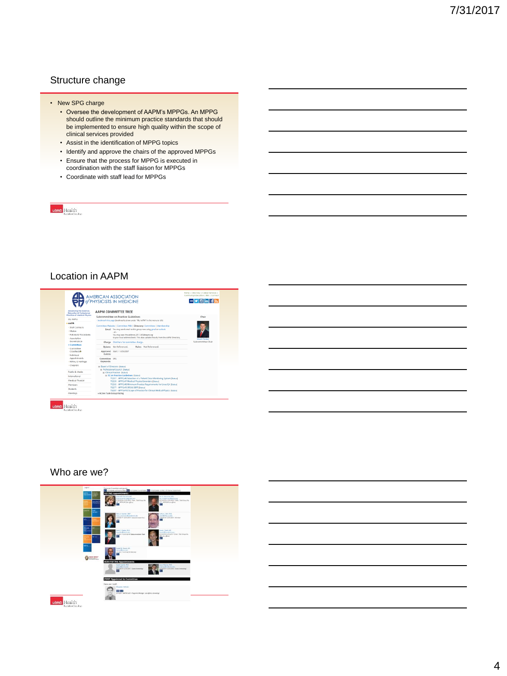# Structure change

- New SPG charge
	- Oversee the development of AAPM's MPPGs. An MPPG should outline the minimum practice standards that should be implemented to ensure high quality within the scope of clinical services provided
	- Assist in the identification of MPPG topics
	- Identify and approve the chairs of the approved MPPGs
	- Ensure that the process for MPPG is executed in
	- coordination with the staff liaison for MPPGs
	- Coordinate with staff lead for MPPGs

utmb Health

### Location in AAPM



utmb Health

#### Who are we?



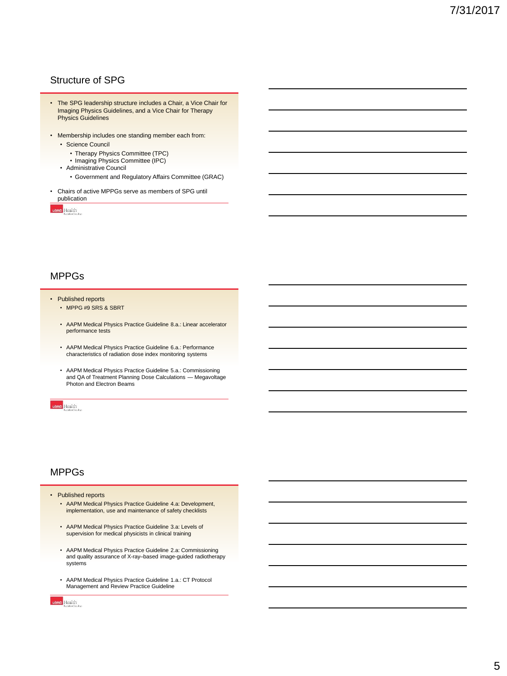# Structure of SPG

- The SPG leadership structure includes a Chair, a Vice Chair for Imaging Physics Guidelines, and a Vice Chair for Therapy Physics Guidelines
- Membership includes one standing member each from:
	- Science Council
		- Therapy Physics Committee (TPC)
		- Imaging Physics Committee (IPC)
	- Administrative Council
		- Government and Regulatory Affairs Committee (GRAC)
- Chairs of active MPPGs serve as members of SPG until publication

utmb Health

### MPPGs

#### • Published reports

- MPPG #9 SRS & SBR[T](https://dx.doi.org/10.1002/acm2.12080)
- AAPM Medical Physics Practice Guideline 8.a.: Linear accelerator performance tests
- AAPM Medical Physics Practice Guideline 6.a.: Performance characteristics of radiation dose index monitoring systems
- AAPM Medical Physics Practice Guideline 5.a.: Commissioning and QA of Treatment Planning Dose Calculations — Megavoltage Photon and Electron Beams

utmb Health

#### MPPGs

- Published reports
	- AAPM Medical Physics Practice Guideline 4.a: Development, implementation, use and maintenance of safety checklists
	- AAPM Medical Physics Practice Guideline 3.a: Levels of supervision for medical physicists in clinical training
	- AAPM Medical Physics Practice Guideline 2.a: Commissioning and quality assurance of X-ray–based image-guided radiotherapy systems
	- AAPM Medical Physics Practice Guideline 1.a.: CT Protocol Management and Review Practice Guideline

tmb Health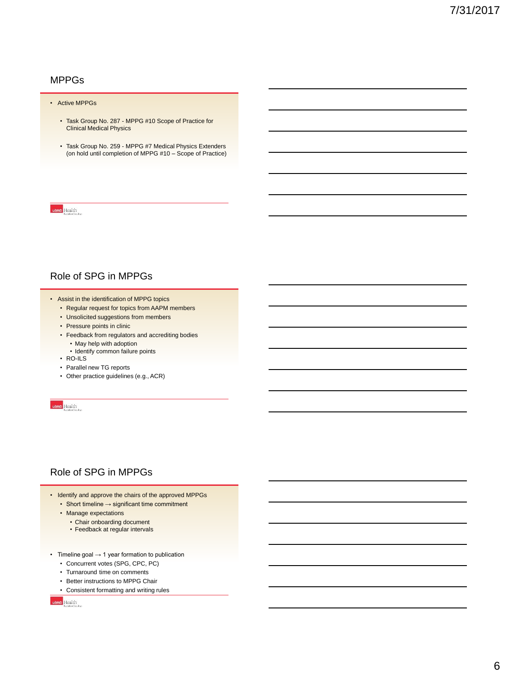### MPPGs

#### • Active MPPGs

- Task Group No. 287 MPPG #10 Scope of Practice for Clinical Medical Physics
- Task Group No. 259 MPPG #7 Medical Physics Extenders (on hold until completion of MPPG #10 – Scope of Practice)

utmb Health

# Role of SPG in MPPGs

- Assist in the identification of MPPG topics
	- Regular request for topics from AAPM members
	- Unsolicited suggestions from members
	- Pressure points in clinic
	- Feedback from regulators and accrediting bodies
		- May help with adoption
		- Identify common failure points
	- RO-ILS
	- Parallel new TG reports
	- Other practice guidelines (e.g., ACR)

utmb Health

#### Role of SPG in MPPGs

- Identify and approve the chairs of the approved MPPGs • Short timeline → significant time commitment
	- Manage expectations
	- - Chair onboarding document • Feedback at regular intervals
- Timeline goal  $\rightarrow$  1 year formation to publication
	- Concurrent votes (SPG, CPC, PC)
	- Turnaround time on comments
	- Better instructions to MPPG Chair
	- Consistent formatting and writing rules

utmb Health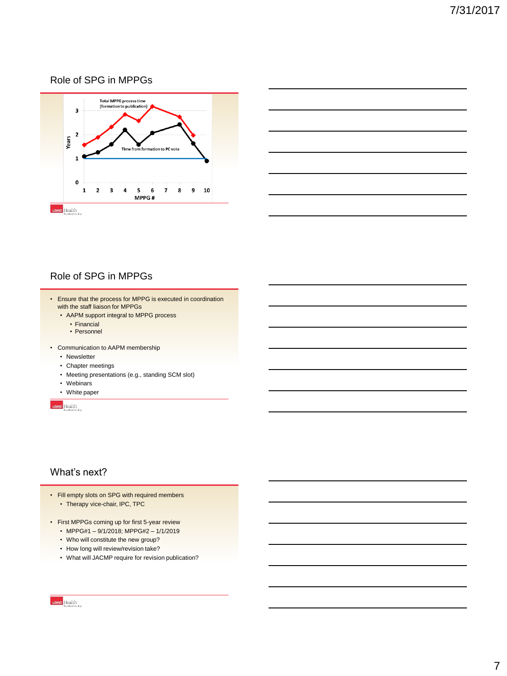# Role of SPG in MPPGs





# Role of SPG in MPPGs

- Ensure that the process for MPPG is executed in coordination with the staff liaison for MPPGs
	- AAPM support integral to MPPG process
		- Financial
		- Personnel
- Communication to AAPM membership
	- Newsletter
	- Chapter meetings
	- Meeting presentations (e.g., standing SCM slot)
	- Webinars
	- White paper

utmb Health

#### What's next?

- Fill empty slots on SPG with required members • Therapy vice-chair, IPC, TPC
- First MPPGs coming up for first 5-year review
	- MPPG#1 9/1/2018; MPPG#2 1/1/2019
	- Who will constitute the new group?
	- How long will review/revision take?
	- What will JACMP require for revision publication?

utmb Health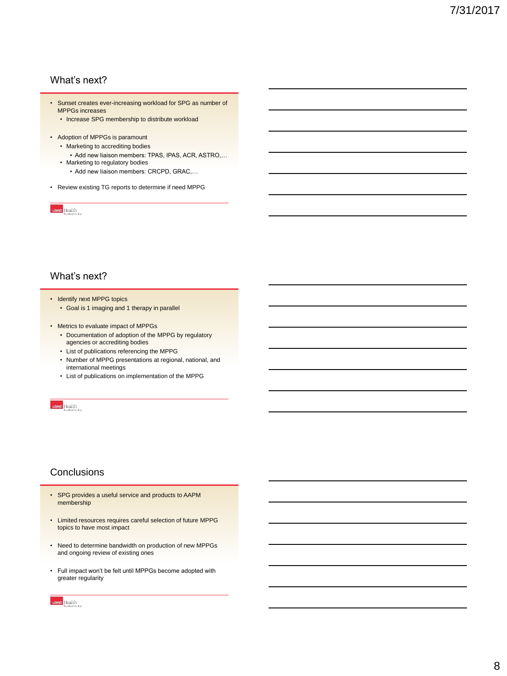# What's next?

- Sunset creates ever-increasing workload for SPG as number of MPPGs increases
	- Increase SPG membership to distribute workload
- Adoption of MPPGs is paramount
	- Marketing to accrediting bodies
		- Add new liaison members: TPAS, IPAS, ACR, ASTRO,…
	- Marketing to regulatory bodies
		- Add new liaison members: CRCPD, GRAC,…
- Review existing TG reports to determine if need MPPG

utmb Health

#### What's next?

- Identify next MPPG topics
	- Goal is 1 imaging and 1 therapy in parallel
- Metrics to evaluate impact of MPPGs
	- Documentation of adoption of the MPPG by regulatory agencies or accrediting bodies
	- List of publications referencing the MPPG
	- Number of MPPG presentations at regional, national, and international meetings
	- List of publications on implementation of the MPPG

utmb Health

# **Conclusions**

- SPG provides a useful service and products to AAPM membership
- Limited resources requires careful selection of future MPPG topics to have most impact
- Need to determine bandwidth on production of new MPPGs and ongoing review of existing ones
- Full impact won't be felt until MPPGs become adopted with greater regularity